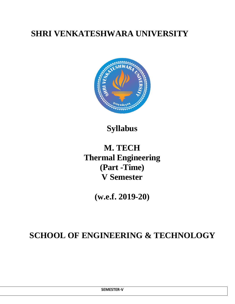# **SHRI VENKATESHWARA UNIVERSITY**



## **Syllabus**

## **M. TECH Thermal Engineering (Part -Time) V Semester**

**(w.e.f. 2019-20)**

## **SCHOOL OF ENGINEERING & TECHNOLOGY**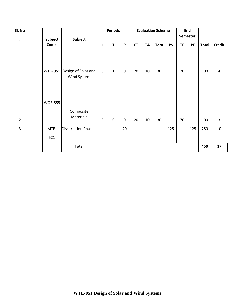| Sl. No<br>$\bullet$ | <b>Subject</b><br>Codes | Subject                                      | <b>Periods</b> |              |             | <b>Evaluation Scheme</b> |           |                  |           | End<br>Semester |     |              |                         |
|---------------------|-------------------------|----------------------------------------------|----------------|--------------|-------------|--------------------------|-----------|------------------|-----------|-----------------|-----|--------------|-------------------------|
|                     |                         |                                              | L              | T            | P           | CT                       | <b>TA</b> | <b>Tota</b><br>I | <b>PS</b> | <b>TE</b>       | PE  | <b>Total</b> | <b>Credit</b>           |
| $\mathbf{1}$        |                         | WTE-051   Design of Solar and<br>Wind System | 3              | $\mathbf{1}$ | $\mathbf 0$ | 20                       | 10        | 30               |           | 70              |     | 100          | 4                       |
| $\overline{2}$      | <b>WOE-555</b>          | Composite<br>Materials                       | 3              | $\pmb{0}$    | $\pmb{0}$   | 20                       | 10        | 30               |           | 70              |     | 100          | $\overline{\mathbf{3}}$ |
| 3                   | MTE-<br>521             | Dissertation Phase -                         |                |              | 20          |                          |           |                  | 125       |                 | 125 | 250          | $10\,$                  |
|                     |                         | <b>Total</b>                                 |                |              |             |                          |           |                  |           |                 |     | 450          | ${\bf 17}$              |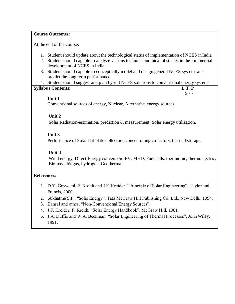## **Course Outcomes:**

At the end of the course:

- 1. Student should update about the technological status of implementation of NCES inIndia
- 2. Student should capable to analyze various techno economical obstacles in the commercial development of NCES in India
- 3. Student should capable to conceptually model and design general NCES systems and predict the long term performance.
- 4. Student should suggest and plan hybrid NCES solutions to conventional energy systems

## **Syllabus Contents: L T P**

 $3 - -$ 

## **Unit 1**

Conventional sources of energy, Nuclear, Alternative energy sources,

## **Unit 2**

Solar Radiation-estimation, prediction & measurement, Solar energy utilization,

## **Unit 3**

Performance of Solar flat plate collectors, concentrating collectors, thermal storage,

## **Unit 4**

Wind energy, Direct Energy conversion- PV, MHD, Fuel cells, thermionic, thermoelectric, Biomass, biogas, hydrogen, Geothermal.

## **References:**

- 1. D.Y. Goswami, F. Kreith and J.F. Kreider, "Principle of Solar Engineering", Taylor and Francis, 2000.
- 2. Sukhatme S.P., "Solar Energy", Tata McGraw Hill Publishing Co. Ltd., New Delhi, 1994.
- 3. Bansal and othes, "Non-Conventional Energy Sources".
- 4. J.F. Kreider, F. Kreith, "Solar Energy Handbook", McGraw Hill, 1981
- 5. J.A. Duffie and W.A. Beckman, "Solar Engineering of Thermal Processes", John Wiley, 1991.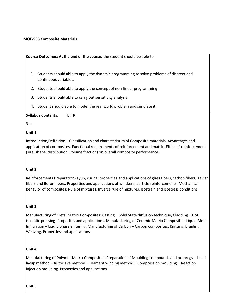#### **MOE-555 Composite Materials**

**Course Outcomes: At the end of the course,** the student should be able to 1. Students should able to apply the dynamic programming to solve problems of discreet and continuous variables. 2. Students should able to apply the concept of non-linear programming 3. Students should able to carry out sensitivity analysis 4. Student should able to model the real world problem and simulate it. **Syllabus Contents**: **L T P**

 $3 - -$ 

### **Unit 1**

Introduction,Definition – Classification and characteristics of Composite materials. Advantages and application of composites. Functional requirements of reinforcement and matrix. Effect of reinforcement (size, shape, distribution, volume fraction) on overall composite performance.

### **Unit 2**

Reinforcements Preparation-layup, curing, properties and applications of glass fibers, carbon fibers, Kevlar fibers and Boron fibers. Properties and applications of whiskers, particle reinforcements. Mechanical Behavior of composites: Rule of mixtures, Inverse rule of mixtures. Isostrain and Isostress conditions.

### **Unit 3**

Manufacturing of Metal Matrix Composites: Casting – Solid State diffusion technique, Cladding – Hot isostatic pressing. Properties and applications. Manufacturing of Ceramic Matrix Composites: Liquid Metal Infiltration – Liquid phase sintering. Manufacturing of Carbon – Carbon composites: Knitting, Braiding, Weaving. Properties and applications.

#### **Unit 4**

Manufacturing of Polymer Matrix Composites: Preparation of Moulding compounds and prepregs – hand layup method – Autoclave method – Filament winding method – Compression moulding – Reaction injection moulding. Properties and applications.

**Unit 5**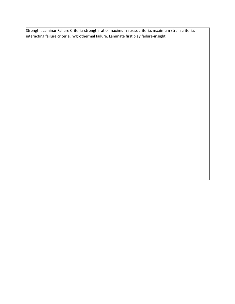Strength: Laminar Failure Criteria-strength ratio, maximum stress criteria, maximum strain criteria, interacting failure criteria, hygrothermal failure. Laminate first play failure-insight